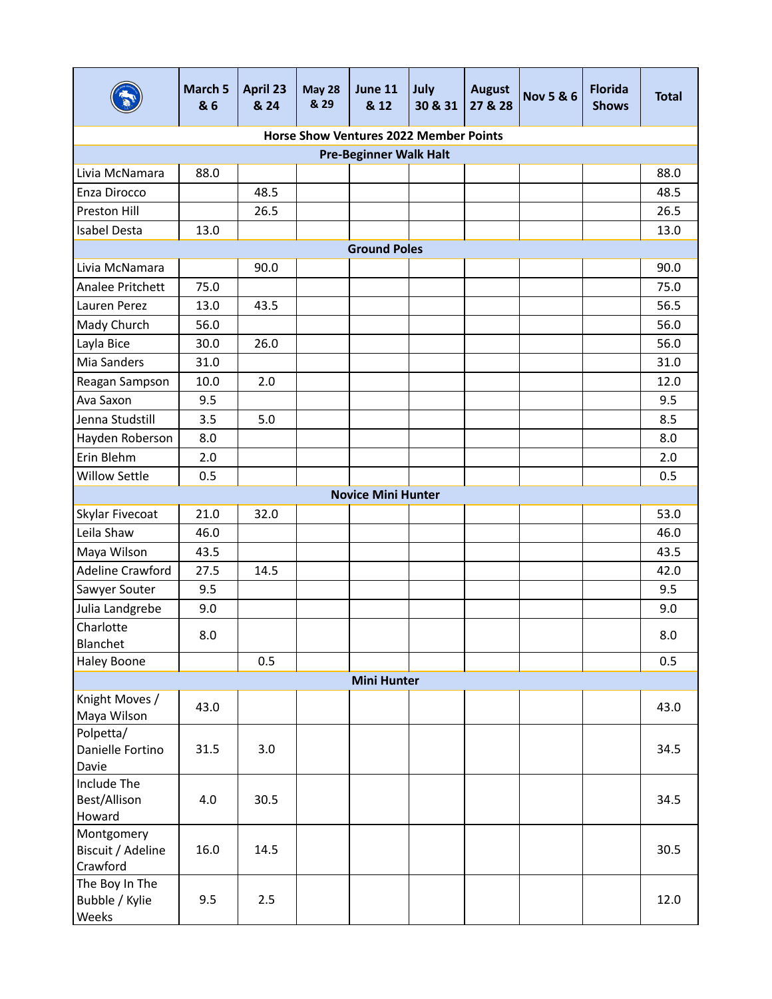|                                             | March 5<br>& 6 | April 23<br>& 24 | <b>May 28</b><br>& 29 | <b>June 11</b><br>& 12                        | July<br>30 & 31 | <b>August</b><br>27 & 28 | <b>Nov 5 &amp; 6</b> | <b>Florida</b><br><b>Shows</b> | <b>Total</b> |  |
|---------------------------------------------|----------------|------------------|-----------------------|-----------------------------------------------|-----------------|--------------------------|----------------------|--------------------------------|--------------|--|
|                                             |                |                  |                       | <b>Horse Show Ventures 2022 Member Points</b> |                 |                          |                      |                                |              |  |
|                                             |                |                  |                       | <b>Pre-Beginner Walk Halt</b>                 |                 |                          |                      |                                |              |  |
| Livia McNamara                              | 88.0           |                  |                       |                                               |                 |                          |                      |                                | 88.0         |  |
| Enza Dirocco                                |                | 48.5             |                       |                                               |                 |                          |                      |                                | 48.5         |  |
| Preston Hill                                |                | 26.5             |                       |                                               |                 |                          |                      |                                | 26.5         |  |
| Isabel Desta                                | 13.0           |                  |                       |                                               |                 |                          |                      |                                | 13.0         |  |
|                                             |                |                  |                       | <b>Ground Poles</b>                           |                 |                          |                      |                                |              |  |
| Livia McNamara                              |                | 90.0             |                       |                                               |                 |                          |                      |                                | 90.0         |  |
| Analee Pritchett                            | 75.0           |                  |                       |                                               |                 |                          |                      |                                | 75.0         |  |
| Lauren Perez                                | 13.0           | 43.5             |                       |                                               |                 |                          |                      |                                | 56.5         |  |
| Mady Church                                 | 56.0           |                  |                       |                                               |                 |                          |                      |                                | 56.0         |  |
| Layla Bice                                  | 30.0           | 26.0             |                       |                                               |                 |                          |                      |                                | 56.0         |  |
| Mia Sanders                                 | 31.0           |                  |                       |                                               |                 |                          |                      |                                | 31.0         |  |
| Reagan Sampson                              | 10.0           | 2.0              |                       |                                               |                 |                          |                      |                                | 12.0         |  |
| Ava Saxon                                   | 9.5            |                  |                       |                                               |                 |                          |                      |                                | 9.5          |  |
| Jenna Studstill                             | 3.5            | 5.0              |                       |                                               |                 |                          |                      |                                | 8.5          |  |
| Hayden Roberson                             | 8.0            |                  |                       |                                               |                 |                          |                      |                                | 8.0          |  |
| Erin Blehm                                  | 2.0            |                  |                       |                                               |                 |                          |                      |                                | 2.0          |  |
| <b>Willow Settle</b>                        | 0.5            |                  |                       |                                               |                 |                          |                      |                                | 0.5          |  |
| <b>Novice Mini Hunter</b>                   |                |                  |                       |                                               |                 |                          |                      |                                |              |  |
| Skylar Fivecoat                             | 21.0           | 32.0             |                       |                                               |                 |                          |                      |                                | 53.0         |  |
| Leila Shaw                                  | 46.0           |                  |                       |                                               |                 |                          |                      |                                | 46.0         |  |
| Maya Wilson                                 | 43.5           |                  |                       |                                               |                 |                          |                      |                                | 43.5         |  |
| Adeline Crawford                            | 27.5           | 14.5             |                       |                                               |                 |                          |                      |                                | 42.0         |  |
| Sawyer Souter                               | 9.5            |                  |                       |                                               |                 |                          |                      |                                | 9.5          |  |
| Julia Landgrebe                             | 9.0            |                  |                       |                                               |                 |                          |                      |                                | 9.0          |  |
| Charlotte<br>Blanchet                       | 8.0            |                  |                       |                                               |                 |                          |                      |                                | 8.0          |  |
| Haley Boone                                 |                | 0.5              |                       |                                               |                 |                          |                      |                                | 0.5          |  |
|                                             |                |                  |                       | <b>Mini Hunter</b>                            |                 |                          |                      |                                |              |  |
| Knight Moves /<br>Maya Wilson               | 43.0           |                  |                       |                                               |                 |                          |                      |                                | 43.0         |  |
| Polpetta/<br>Danielle Fortino<br>Davie      | 31.5           | 3.0              |                       |                                               |                 |                          |                      |                                | 34.5         |  |
| Include The<br>Best/Allison<br>Howard       | 4.0            | 30.5             |                       |                                               |                 |                          |                      |                                | 34.5         |  |
| Montgomery<br>Biscuit / Adeline<br>Crawford | 16.0           | 14.5             |                       |                                               |                 |                          |                      |                                | 30.5         |  |
| The Boy In The<br>Bubble / Kylie<br>Weeks   | 9.5            | 2.5              |                       |                                               |                 |                          |                      |                                | 12.0         |  |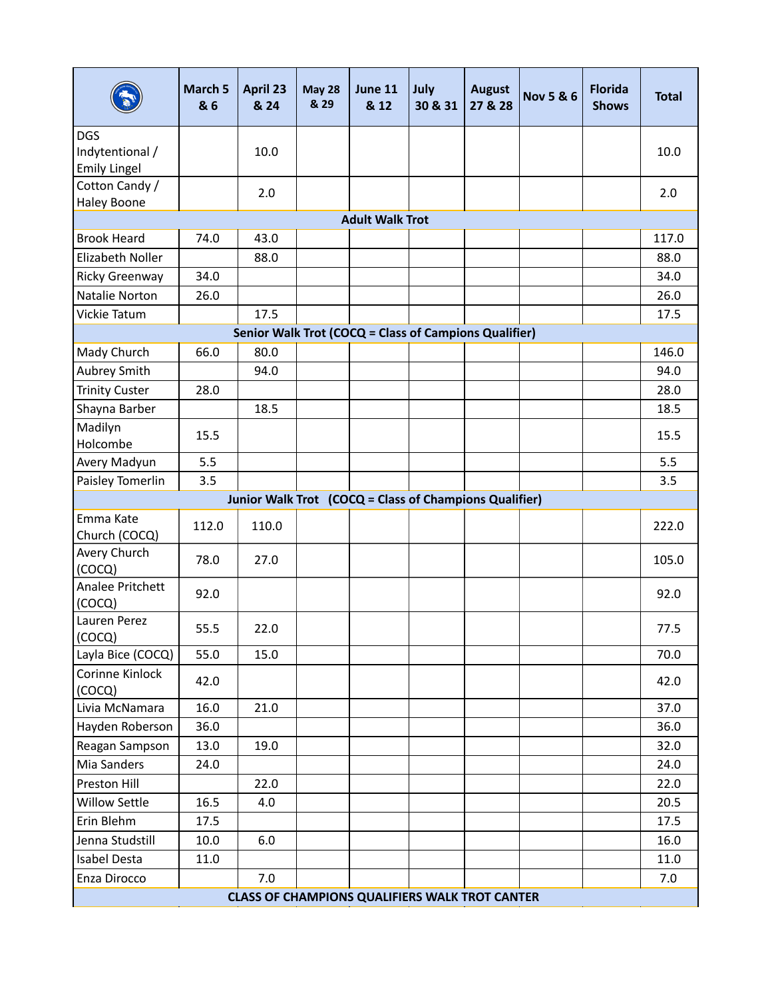|                                                        | March 5<br>& 6                                        | April 23<br>& 24 | <b>May 28</b><br>& 29 | June 11<br>& 12                                       | July<br>30 & 31 | <b>August</b><br>27 & 28 | <b>Nov 5 &amp; 6</b> | <b>Florida</b><br><b>Shows</b> | <b>Total</b> |  |  |
|--------------------------------------------------------|-------------------------------------------------------|------------------|-----------------------|-------------------------------------------------------|-----------------|--------------------------|----------------------|--------------------------------|--------------|--|--|
| <b>DGS</b>                                             |                                                       |                  |                       |                                                       |                 |                          |                      |                                |              |  |  |
| Indytentional /                                        |                                                       | 10.0             |                       |                                                       |                 |                          |                      |                                | 10.0         |  |  |
| <b>Emily Lingel</b>                                    |                                                       |                  |                       |                                                       |                 |                          |                      |                                |              |  |  |
| Cotton Candy /                                         |                                                       | 2.0              |                       |                                                       |                 |                          |                      |                                | 2.0          |  |  |
| <b>Haley Boone</b>                                     |                                                       |                  |                       |                                                       |                 |                          |                      |                                |              |  |  |
|                                                        |                                                       |                  |                       | <b>Adult Walk Trot</b>                                |                 |                          |                      |                                |              |  |  |
| <b>Brook Heard</b>                                     | 74.0                                                  | 43.0             |                       |                                                       |                 |                          |                      |                                | 117.0        |  |  |
| Elizabeth Noller                                       |                                                       | 88.0             |                       |                                                       |                 |                          |                      |                                | 88.0         |  |  |
| Ricky Greenway                                         | 34.0                                                  |                  |                       |                                                       |                 |                          |                      |                                | 34.0         |  |  |
| Natalie Norton                                         | 26.0                                                  |                  |                       |                                                       |                 |                          |                      |                                | 26.0         |  |  |
| Vickie Tatum                                           |                                                       | 17.5             |                       |                                                       |                 |                          |                      |                                | 17.5         |  |  |
|                                                        |                                                       |                  |                       | Senior Walk Trot (COCQ = Class of Campions Qualifier) |                 |                          |                      |                                |              |  |  |
| Mady Church                                            | 66.0                                                  | 80.0             |                       |                                                       |                 |                          |                      |                                | 146.0        |  |  |
| Aubrey Smith                                           |                                                       | 94.0             |                       |                                                       |                 |                          |                      |                                | 94.0         |  |  |
| <b>Trinity Custer</b>                                  | 28.0                                                  |                  |                       |                                                       |                 |                          |                      |                                | 28.0         |  |  |
| Shayna Barber                                          |                                                       | 18.5             |                       |                                                       |                 |                          |                      |                                | 18.5         |  |  |
| Madilyn<br>Holcombe                                    | 15.5                                                  |                  |                       |                                                       |                 |                          |                      |                                | 15.5         |  |  |
| Avery Madyun                                           | 5.5                                                   |                  |                       |                                                       |                 |                          |                      |                                | 5.5          |  |  |
| Paisley Tomerlin                                       | 3.5                                                   |                  |                       |                                                       |                 |                          |                      |                                | 3.5          |  |  |
| Junior Walk Trot (COCQ = Class of Champions Qualifier) |                                                       |                  |                       |                                                       |                 |                          |                      |                                |              |  |  |
| Emma Kate<br>Church (COCQ)                             | 112.0                                                 | 110.0            |                       |                                                       |                 |                          |                      |                                | 222.0        |  |  |
| Avery Church<br>(COCQ)                                 | 78.0                                                  | 27.0             |                       |                                                       |                 |                          |                      |                                | 105.0        |  |  |
| Analee Pritchett<br>(COCQ)                             | 92.0                                                  |                  |                       |                                                       |                 |                          |                      |                                | 92.0         |  |  |
| Lauren Perez<br>(COCQ)                                 | 55.5                                                  | 22.0             |                       |                                                       |                 |                          |                      |                                | 77.5         |  |  |
| Layla Bice (COCQ)                                      | 55.0                                                  | 15.0             |                       |                                                       |                 |                          |                      |                                | 70.0         |  |  |
| Corinne Kinlock<br>(COCQ)                              | 42.0                                                  |                  |                       |                                                       |                 |                          |                      |                                | 42.0         |  |  |
| Livia McNamara                                         | 16.0                                                  | 21.0             |                       |                                                       |                 |                          |                      |                                | 37.0         |  |  |
| Hayden Roberson                                        | 36.0                                                  |                  |                       |                                                       |                 |                          |                      |                                | 36.0         |  |  |
| Reagan Sampson                                         | 13.0                                                  | 19.0             |                       |                                                       |                 |                          |                      |                                | 32.0         |  |  |
| Mia Sanders                                            | 24.0                                                  |                  |                       |                                                       |                 |                          |                      |                                | 24.0         |  |  |
| Preston Hill                                           |                                                       | 22.0             |                       |                                                       |                 |                          |                      |                                | 22.0         |  |  |
| Willow Settle                                          | 16.5                                                  | 4.0              |                       |                                                       |                 |                          |                      |                                | 20.5         |  |  |
| Erin Blehm                                             | 17.5                                                  |                  |                       |                                                       |                 |                          |                      |                                | 17.5         |  |  |
| Jenna Studstill                                        | 10.0                                                  | 6.0              |                       |                                                       |                 |                          |                      |                                | 16.0         |  |  |
| Isabel Desta                                           | 11.0                                                  |                  |                       |                                                       |                 |                          |                      |                                | 11.0         |  |  |
| Enza Dirocco                                           |                                                       | 7.0              |                       |                                                       |                 |                          |                      |                                | 7.0          |  |  |
|                                                        | <b>CLASS OF CHAMPIONS QUALIFIERS WALK TROT CANTER</b> |                  |                       |                                                       |                 |                          |                      |                                |              |  |  |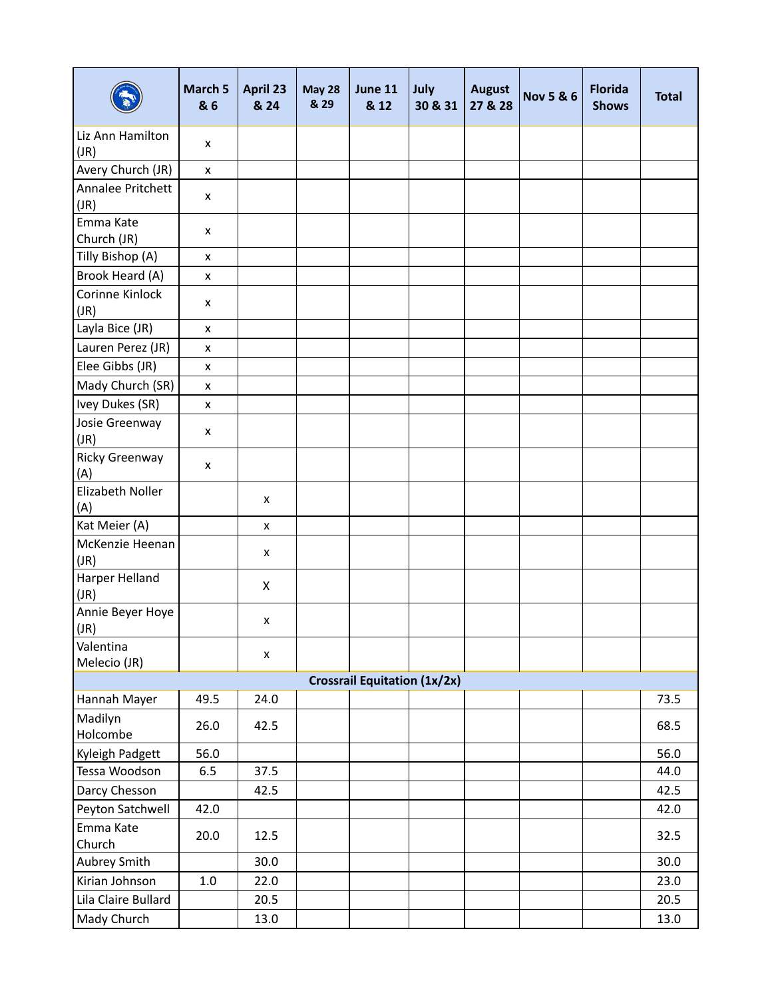|                           | March 5<br>& 6 | April 23<br>& 24 | <b>May 28</b><br>& 29 | June 11<br>& 12                     | July<br>30 & 31 | <b>August</b><br>27 & 28 | <b>Nov 5 &amp; 6</b> | <b>Florida</b><br><b>Shows</b> | <b>Total</b> |
|---------------------------|----------------|------------------|-----------------------|-------------------------------------|-----------------|--------------------------|----------------------|--------------------------------|--------------|
| Liz Ann Hamilton<br>(JR)  | x              |                  |                       |                                     |                 |                          |                      |                                |              |
| Avery Church (JR)         | x              |                  |                       |                                     |                 |                          |                      |                                |              |
| Annalee Pritchett<br>(JR) | x              |                  |                       |                                     |                 |                          |                      |                                |              |
| Emma Kate<br>Church (JR)  | x              |                  |                       |                                     |                 |                          |                      |                                |              |
| Tilly Bishop (A)          | x              |                  |                       |                                     |                 |                          |                      |                                |              |
| Brook Heard (A)           | x              |                  |                       |                                     |                 |                          |                      |                                |              |
| Corinne Kinlock<br>(JR)   | x              |                  |                       |                                     |                 |                          |                      |                                |              |
| Layla Bice (JR)           | x              |                  |                       |                                     |                 |                          |                      |                                |              |
| Lauren Perez (JR)         | x              |                  |                       |                                     |                 |                          |                      |                                |              |
| Elee Gibbs (JR)           | x              |                  |                       |                                     |                 |                          |                      |                                |              |
| Mady Church (SR)          | x              |                  |                       |                                     |                 |                          |                      |                                |              |
| Ivey Dukes (SR)           | x              |                  |                       |                                     |                 |                          |                      |                                |              |
| Josie Greenway<br>(JR)    | x              |                  |                       |                                     |                 |                          |                      |                                |              |
| Ricky Greenway<br>(A)     | x              |                  |                       |                                     |                 |                          |                      |                                |              |
| Elizabeth Noller<br>(A)   |                | x                |                       |                                     |                 |                          |                      |                                |              |
| Kat Meier (A)             |                | x                |                       |                                     |                 |                          |                      |                                |              |
| McKenzie Heenan<br>(JR)   |                | x                |                       |                                     |                 |                          |                      |                                |              |
| Harper Helland<br>(JR)    |                | X                |                       |                                     |                 |                          |                      |                                |              |
| Annie Beyer Hoye<br>(JR)  |                | x                |                       |                                     |                 |                          |                      |                                |              |
| Valentina<br>Melecio (JR) |                | x                |                       |                                     |                 |                          |                      |                                |              |
|                           |                |                  |                       | <b>Crossrail Equitation (1x/2x)</b> |                 |                          |                      |                                |              |
| Hannah Mayer              | 49.5           | 24.0             |                       |                                     |                 |                          |                      |                                | 73.5         |
| Madilyn<br>Holcombe       | 26.0           | 42.5             |                       |                                     |                 |                          |                      |                                | 68.5         |
| Kyleigh Padgett           | 56.0           |                  |                       |                                     |                 |                          |                      |                                | 56.0         |
| Tessa Woodson             | 6.5            | 37.5             |                       |                                     |                 |                          |                      |                                | 44.0         |
| Darcy Chesson             |                | 42.5             |                       |                                     |                 |                          |                      |                                | 42.5         |
| Peyton Satchwell          | 42.0           |                  |                       |                                     |                 |                          |                      |                                | 42.0         |
| Emma Kate<br>Church       | 20.0           | 12.5             |                       |                                     |                 |                          |                      |                                | 32.5         |
| Aubrey Smith              |                | 30.0             |                       |                                     |                 |                          |                      |                                | 30.0         |
| Kirian Johnson            | 1.0            | 22.0             |                       |                                     |                 |                          |                      |                                | 23.0         |
| Lila Claire Bullard       |                | 20.5             |                       |                                     |                 |                          |                      |                                | 20.5         |
| Mady Church               |                | 13.0             |                       |                                     |                 |                          |                      |                                | 13.0         |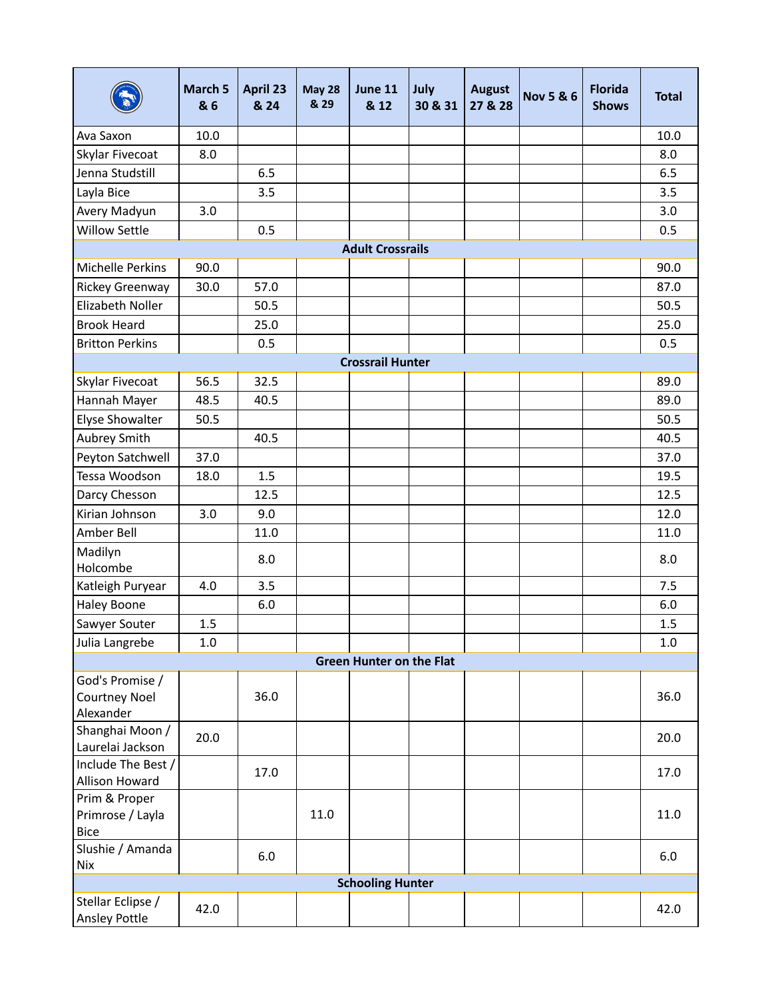|                                                  | March 5<br>& 6 | April 23<br>& 24 | <b>May 28</b><br>& 29 | June 11<br>& 12                 | July<br>30 & 31 | <b>August</b><br>27 & 28 | <b>Nov 5 &amp; 6</b> | <b>Florida</b><br><b>Shows</b> | <b>Total</b> |
|--------------------------------------------------|----------------|------------------|-----------------------|---------------------------------|-----------------|--------------------------|----------------------|--------------------------------|--------------|
| Ava Saxon                                        | 10.0           |                  |                       |                                 |                 |                          |                      |                                | 10.0         |
| Skylar Fivecoat                                  | 8.0            |                  |                       |                                 |                 |                          |                      |                                | 8.0          |
| Jenna Studstill                                  |                | 6.5              |                       |                                 |                 |                          |                      |                                | 6.5          |
| Layla Bice                                       |                | 3.5              |                       |                                 |                 |                          |                      |                                | 3.5          |
| Avery Madyun                                     | 3.0            |                  |                       |                                 |                 |                          |                      |                                | 3.0          |
| <b>Willow Settle</b>                             |                | 0.5              |                       |                                 |                 |                          |                      |                                | 0.5          |
|                                                  |                |                  |                       | <b>Adult Crossrails</b>         |                 |                          |                      |                                |              |
| Michelle Perkins                                 | 90.0           |                  |                       |                                 |                 |                          |                      |                                | 90.0         |
| Rickey Greenway                                  | 30.0           | 57.0             |                       |                                 |                 |                          |                      |                                | 87.0         |
| Elizabeth Noller                                 |                | 50.5             |                       |                                 |                 |                          |                      |                                | 50.5         |
| <b>Brook Heard</b>                               |                | 25.0             |                       |                                 |                 |                          |                      |                                | 25.0         |
| <b>Britton Perkins</b>                           |                | 0.5              |                       |                                 |                 |                          |                      |                                | 0.5          |
|                                                  |                |                  |                       | <b>Crossrail Hunter</b>         |                 |                          |                      |                                |              |
| Skylar Fivecoat                                  | 56.5           | 32.5             |                       |                                 |                 |                          |                      |                                | 89.0         |
| Hannah Mayer                                     | 48.5           | 40.5             |                       |                                 |                 |                          |                      |                                | 89.0         |
| Elyse Showalter                                  | 50.5           |                  |                       |                                 |                 |                          |                      |                                | 50.5         |
| Aubrey Smith                                     |                | 40.5             |                       |                                 |                 |                          |                      |                                | 40.5         |
| Peyton Satchwell                                 | 37.0           |                  |                       |                                 |                 |                          |                      |                                | 37.0         |
| Tessa Woodson                                    | 18.0           | 1.5              |                       |                                 |                 |                          |                      |                                | 19.5         |
| Darcy Chesson                                    |                | 12.5             |                       |                                 |                 |                          |                      |                                | 12.5         |
| Kirian Johnson                                   | 3.0            | 9.0              |                       |                                 |                 |                          |                      |                                | 12.0         |
| Amber Bell                                       |                | 11.0             |                       |                                 |                 |                          |                      |                                | 11.0         |
| Madilyn<br>Holcombe                              |                | 8.0              |                       |                                 |                 |                          |                      |                                | 8.0          |
| Katleigh Puryear                                 | 4.0            | 3.5              |                       |                                 |                 |                          |                      |                                | 7.5          |
| <b>Haley Boone</b>                               |                | 6.0              |                       |                                 |                 |                          |                      |                                | 6.0          |
| Sawyer Souter                                    | 1.5            |                  |                       |                                 |                 |                          |                      |                                | 1.5          |
| Julia Langrebe                                   | 1.0            |                  |                       |                                 |                 |                          |                      |                                | 1.0          |
|                                                  |                |                  |                       | <b>Green Hunter on the Flat</b> |                 |                          |                      |                                |              |
| God's Promise /<br>Courtney Noel<br>Alexander    |                | 36.0             |                       |                                 |                 |                          |                      |                                | 36.0         |
| Shanghai Moon /<br>Laurelai Jackson              | 20.0           |                  |                       |                                 |                 |                          |                      |                                | 20.0         |
| Include The Best /<br>Allison Howard             |                | 17.0             |                       |                                 |                 |                          |                      |                                | 17.0         |
| Prim & Proper<br>Primrose / Layla<br><b>Bice</b> |                |                  | 11.0                  |                                 |                 |                          |                      |                                | 11.0         |
| Slushie / Amanda<br>Nix                          |                | 6.0              |                       |                                 |                 |                          |                      |                                | 6.0          |
|                                                  |                |                  |                       | <b>Schooling Hunter</b>         |                 |                          |                      |                                |              |
| Stellar Eclipse /<br>Ansley Pottle               | 42.0           |                  |                       |                                 |                 |                          |                      |                                | 42.0         |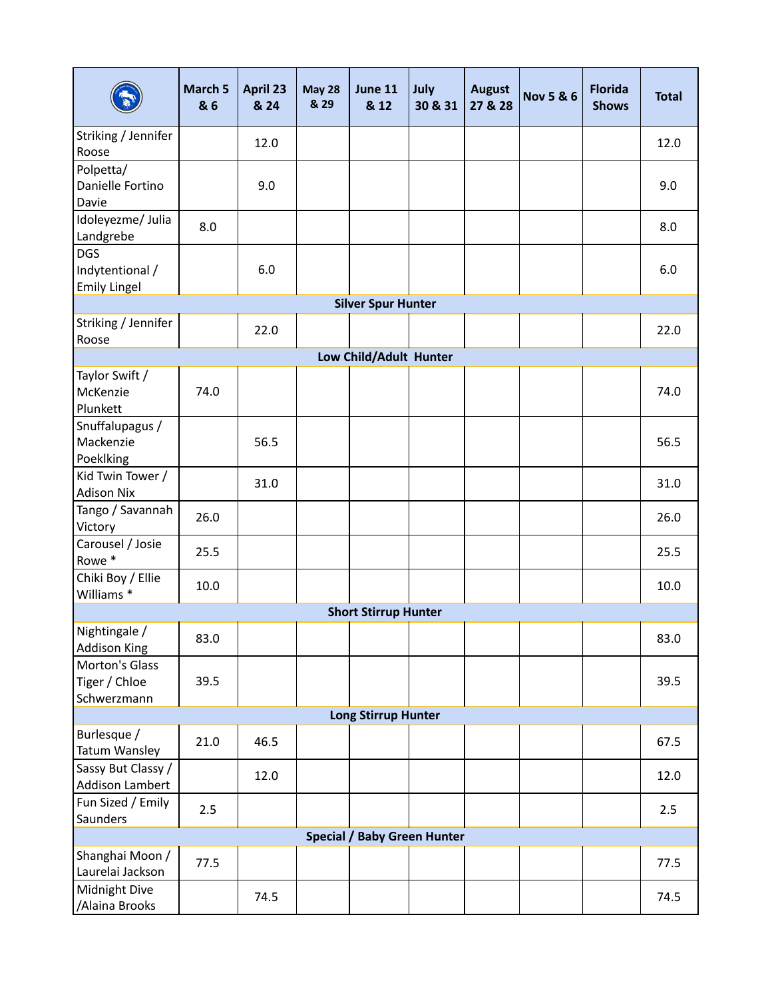|                                                      | March 5<br>& 6 | April 23<br>& 24 | <b>May 28</b><br>& 29 | <b>June 11</b><br>& 12      | July<br>30 & 31 | <b>August</b><br>27 & 28 | <b>Nov 5 &amp; 6</b> | <b>Florida</b><br><b>Shows</b> | <b>Total</b> |  |
|------------------------------------------------------|----------------|------------------|-----------------------|-----------------------------|-----------------|--------------------------|----------------------|--------------------------------|--------------|--|
| Striking / Jennifer<br>Roose                         |                | 12.0             |                       |                             |                 |                          |                      |                                | 12.0         |  |
| Polpetta/<br>Danielle Fortino<br>Davie               |                | 9.0              |                       |                             |                 |                          |                      |                                | 9.0          |  |
| Idoleyezme/ Julia<br>Landgrebe                       | 8.0            |                  |                       |                             |                 |                          |                      |                                | 8.0          |  |
| <b>DGS</b><br>Indytentional /<br><b>Emily Lingel</b> |                | 6.0              |                       |                             |                 |                          |                      |                                | 6.0          |  |
| <b>Silver Spur Hunter</b>                            |                |                  |                       |                             |                 |                          |                      |                                |              |  |
| Striking / Jennifer<br>Roose                         |                | 22.0             |                       |                             |                 |                          |                      |                                | 22.0         |  |
|                                                      |                |                  |                       | Low Child/Adult Hunter      |                 |                          |                      |                                |              |  |
| Taylor Swift /<br>McKenzie<br>Plunkett               | 74.0           |                  |                       |                             |                 |                          |                      |                                | 74.0         |  |
| Snuffalupagus /<br>Mackenzie<br>Poeklking            |                | 56.5             |                       |                             |                 |                          |                      |                                | 56.5         |  |
| Kid Twin Tower /<br><b>Adison Nix</b>                |                | 31.0             |                       |                             |                 |                          |                      |                                | 31.0         |  |
| Tango / Savannah<br>Victory                          | 26.0           |                  |                       |                             |                 |                          |                      |                                | 26.0         |  |
| Carousel / Josie<br>Rowe *                           | 25.5           |                  |                       |                             |                 |                          |                      |                                | 25.5         |  |
| Chiki Boy / Ellie<br>Williams <sup>*</sup>           | 10.0           |                  |                       |                             |                 |                          |                      |                                | 10.0         |  |
|                                                      |                |                  |                       | <b>Short Stirrup Hunter</b> |                 |                          |                      |                                |              |  |
| Nightingale /<br><b>Addison King</b>                 | 83.0           |                  |                       |                             |                 |                          |                      |                                | 83.0         |  |
| Morton's Glass<br>Tiger / Chloe<br>Schwerzmann       | 39.5           |                  |                       |                             |                 |                          |                      |                                | 39.5         |  |
|                                                      |                |                  |                       | <b>Long Stirrup Hunter</b>  |                 |                          |                      |                                |              |  |
| Burlesque /<br>Tatum Wansley                         | 21.0           | 46.5             |                       |                             |                 |                          |                      |                                | 67.5         |  |
| Sassy But Classy /<br>Addison Lambert                |                | 12.0             |                       |                             |                 |                          |                      |                                | 12.0         |  |
| Fun Sized / Emily<br>Saunders                        | 2.5            |                  |                       |                             |                 |                          |                      |                                | 2.5          |  |
| <b>Special / Baby Green Hunter</b>                   |                |                  |                       |                             |                 |                          |                      |                                |              |  |
| Shanghai Moon /<br>Laurelai Jackson                  | 77.5           |                  |                       |                             |                 |                          |                      |                                | 77.5         |  |
| Midnight Dive<br>/Alaina Brooks                      |                | 74.5             |                       |                             |                 |                          |                      |                                | 74.5         |  |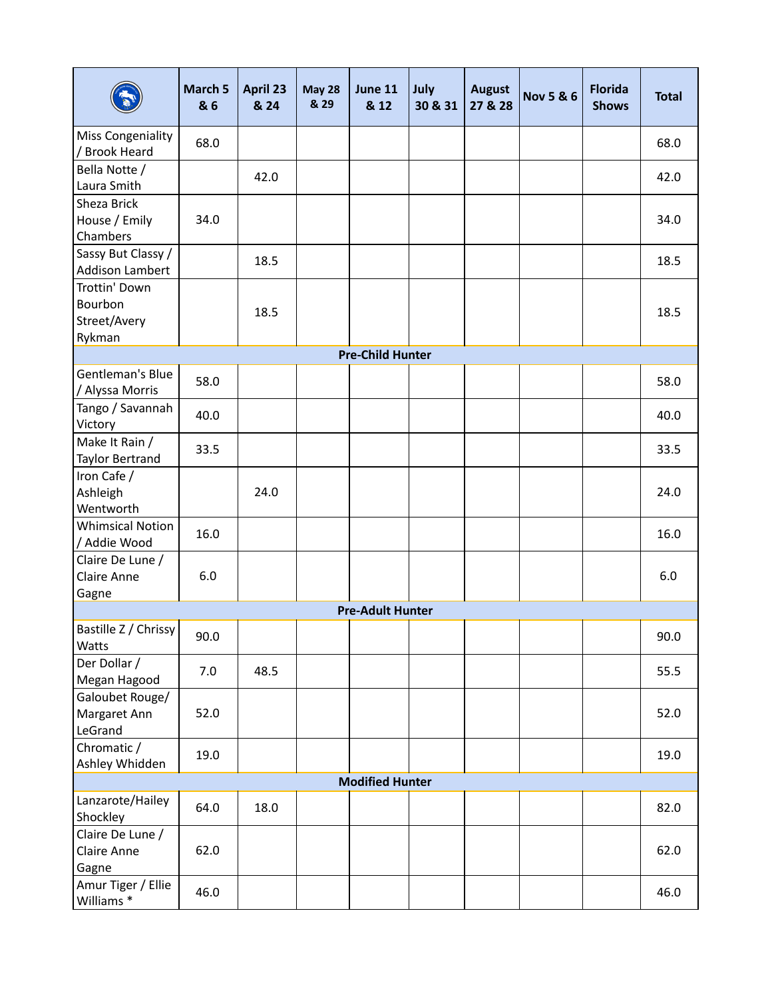|                                                    | March 5<br>& 6 | <b>April 23</b><br>& 24 | <b>May 28</b><br>& 29 | June 11<br>& 12         | July<br>30 & 31 | <b>August</b><br>27 & 28 | <b>Nov 5 &amp; 6</b> | <b>Florida</b><br><b>Shows</b> | <b>Total</b> |
|----------------------------------------------------|----------------|-------------------------|-----------------------|-------------------------|-----------------|--------------------------|----------------------|--------------------------------|--------------|
| Miss Congeniality<br>/ Brook Heard                 | 68.0           |                         |                       |                         |                 |                          |                      |                                | 68.0         |
| Bella Notte /<br>Laura Smith                       |                | 42.0                    |                       |                         |                 |                          |                      |                                | 42.0         |
| Sheza Brick<br>House / Emily<br>Chambers           | 34.0           |                         |                       |                         |                 |                          |                      |                                | 34.0         |
| Sassy But Classy /<br><b>Addison Lambert</b>       |                | 18.5                    |                       |                         |                 |                          |                      |                                | 18.5         |
| Trottin' Down<br>Bourbon<br>Street/Avery<br>Rykman |                | 18.5                    |                       |                         |                 |                          |                      |                                | 18.5         |
|                                                    |                |                         |                       | <b>Pre-Child Hunter</b> |                 |                          |                      |                                |              |
| Gentleman's Blue<br>/ Alyssa Morris                | 58.0           |                         |                       |                         |                 |                          |                      |                                | 58.0         |
| Tango / Savannah<br>Victory                        | 40.0           |                         |                       |                         |                 |                          |                      |                                | 40.0         |
| Make It Rain /<br>Taylor Bertrand                  | 33.5           |                         |                       |                         |                 |                          |                      |                                | 33.5         |
| Iron Cafe /<br>Ashleigh<br>Wentworth               |                | 24.0                    |                       |                         |                 |                          |                      |                                | 24.0         |
| <b>Whimsical Notion</b><br>/ Addie Wood            | 16.0           |                         |                       |                         |                 |                          |                      |                                | 16.0         |
| Claire De Lune /<br>Claire Anne<br>Gagne           | 6.0            |                         |                       |                         |                 |                          |                      |                                | 6.0          |
|                                                    |                |                         |                       | <b>Pre-Adult Hunter</b> |                 |                          |                      |                                |              |
| Bastille Z / Chrissy<br>Watts                      | 90.0           |                         |                       |                         |                 |                          |                      |                                | 90.0         |
| Der Dollar /<br>Megan Hagood                       | 7.0            | 48.5                    |                       |                         |                 |                          |                      |                                | 55.5         |
| Galoubet Rouge/<br>Margaret Ann<br>LeGrand         | 52.0           |                         |                       |                         |                 |                          |                      |                                | 52.0         |
| Chromatic /<br>Ashley Whidden                      | 19.0           |                         |                       |                         |                 |                          |                      |                                | 19.0         |
|                                                    |                |                         |                       | <b>Modified Hunter</b>  |                 |                          |                      |                                |              |
| Lanzarote/Hailey<br>Shockley                       | 64.0           | 18.0                    |                       |                         |                 |                          |                      |                                | 82.0         |
| Claire De Lune /<br>Claire Anne<br>Gagne           | 62.0           |                         |                       |                         |                 |                          |                      |                                | 62.0         |
| Amur Tiger / Ellie<br>Williams <sup>*</sup>        | 46.0           |                         |                       |                         |                 |                          |                      |                                | 46.0         |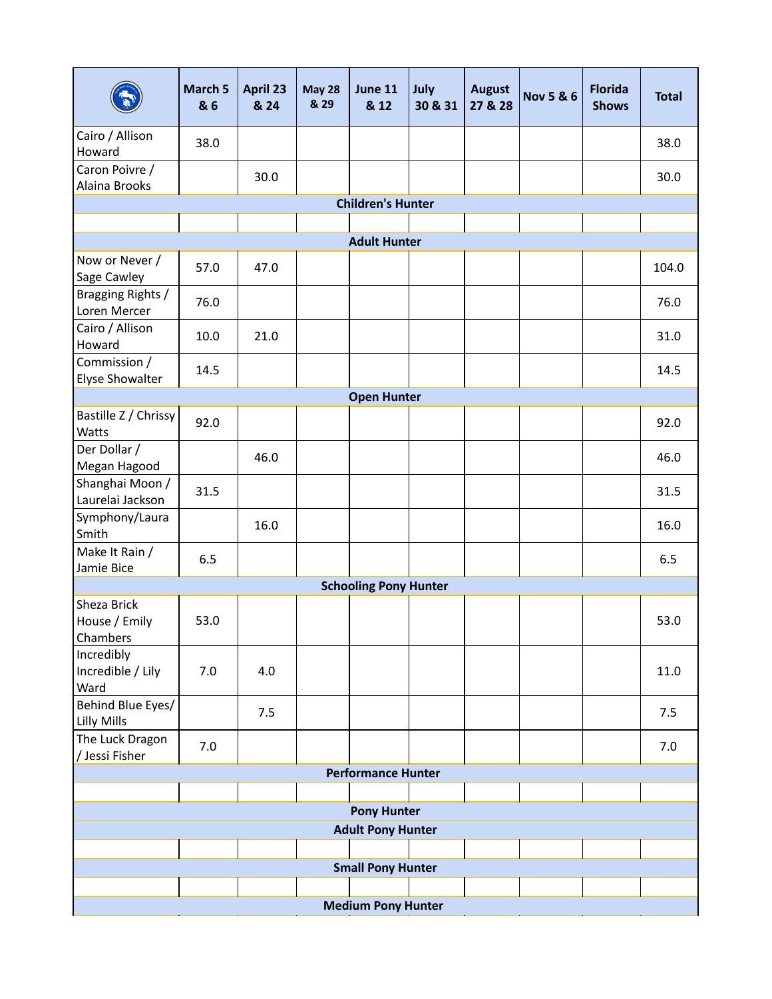|                                          | March 5<br>& 6     | April 23<br>& 24 | <b>May 28</b><br>& 29 | June 11<br>& 12              | July<br>30 & 31 | <b>August</b><br>27 & 28 | <b>Nov 5 &amp; 6</b> | <b>Florida</b><br><b>Shows</b> | <b>Total</b> |  |
|------------------------------------------|--------------------|------------------|-----------------------|------------------------------|-----------------|--------------------------|----------------------|--------------------------------|--------------|--|
| Cairo / Allison<br>Howard                | 38.0               |                  |                       |                              |                 |                          |                      |                                | 38.0         |  |
| Caron Poivre /<br>Alaina Brooks          |                    | 30.0             |                       |                              |                 |                          |                      |                                | 30.0         |  |
|                                          |                    |                  |                       | <b>Children's Hunter</b>     |                 |                          |                      |                                |              |  |
|                                          |                    |                  |                       |                              |                 |                          |                      |                                |              |  |
|                                          |                    |                  |                       | <b>Adult Hunter</b>          |                 |                          |                      |                                |              |  |
| Now or Never /<br>Sage Cawley            | 57.0               | 47.0             |                       |                              |                 |                          |                      |                                | 104.0        |  |
| Bragging Rights /<br>Loren Mercer        | 76.0               |                  |                       |                              |                 |                          |                      |                                | 76.0         |  |
| Cairo / Allison<br>Howard                | 10.0               | 21.0             |                       |                              |                 |                          |                      |                                | 31.0         |  |
| Commission /<br>Elyse Showalter          | 14.5               |                  |                       |                              |                 |                          |                      |                                | 14.5         |  |
|                                          |                    |                  |                       | <b>Open Hunter</b>           |                 |                          |                      |                                |              |  |
| Bastille Z / Chrissy<br>Watts            | 92.0               |                  |                       |                              |                 |                          |                      |                                | 92.0         |  |
| Der Dollar /<br>Megan Hagood             |                    | 46.0             |                       |                              |                 |                          |                      |                                | 46.0         |  |
| Shanghai Moon /<br>Laurelai Jackson      | 31.5               |                  |                       |                              |                 |                          |                      |                                | 31.5         |  |
| Symphony/Laura<br>Smith                  |                    | 16.0             |                       |                              |                 |                          |                      |                                | 16.0         |  |
| Make It Rain /<br>Jamie Bice             | 6.5                |                  |                       |                              |                 |                          |                      |                                | 6.5          |  |
|                                          |                    |                  |                       | <b>Schooling Pony Hunter</b> |                 |                          |                      |                                |              |  |
| Sheza Brick<br>House / Emily<br>Chambers | 53.0               |                  |                       |                              |                 |                          |                      |                                | 53.0         |  |
| Incredibly<br>Incredible / Lily<br>Ward  | 7.0                | 4.0              |                       |                              |                 |                          |                      |                                | 11.0         |  |
| Behind Blue Eyes/<br>Lilly Mills         |                    | 7.5              |                       |                              |                 |                          |                      |                                | 7.5          |  |
| The Luck Dragon<br>/ Jessi Fisher        | 7.0                |                  |                       |                              |                 |                          |                      |                                | 7.0          |  |
|                                          |                    |                  |                       | <b>Performance Hunter</b>    |                 |                          |                      |                                |              |  |
|                                          |                    |                  |                       |                              |                 |                          |                      |                                |              |  |
|                                          | <b>Pony Hunter</b> |                  |                       |                              |                 |                          |                      |                                |              |  |
| <b>Adult Pony Hunter</b>                 |                    |                  |                       |                              |                 |                          |                      |                                |              |  |
|                                          |                    |                  |                       |                              |                 |                          |                      |                                |              |  |
|                                          |                    |                  |                       | <b>Small Pony Hunter</b>     |                 |                          |                      |                                |              |  |
|                                          |                    |                  |                       |                              |                 |                          |                      |                                |              |  |
|                                          |                    |                  |                       | <b>Medium Pony Hunter</b>    |                 |                          |                      |                                |              |  |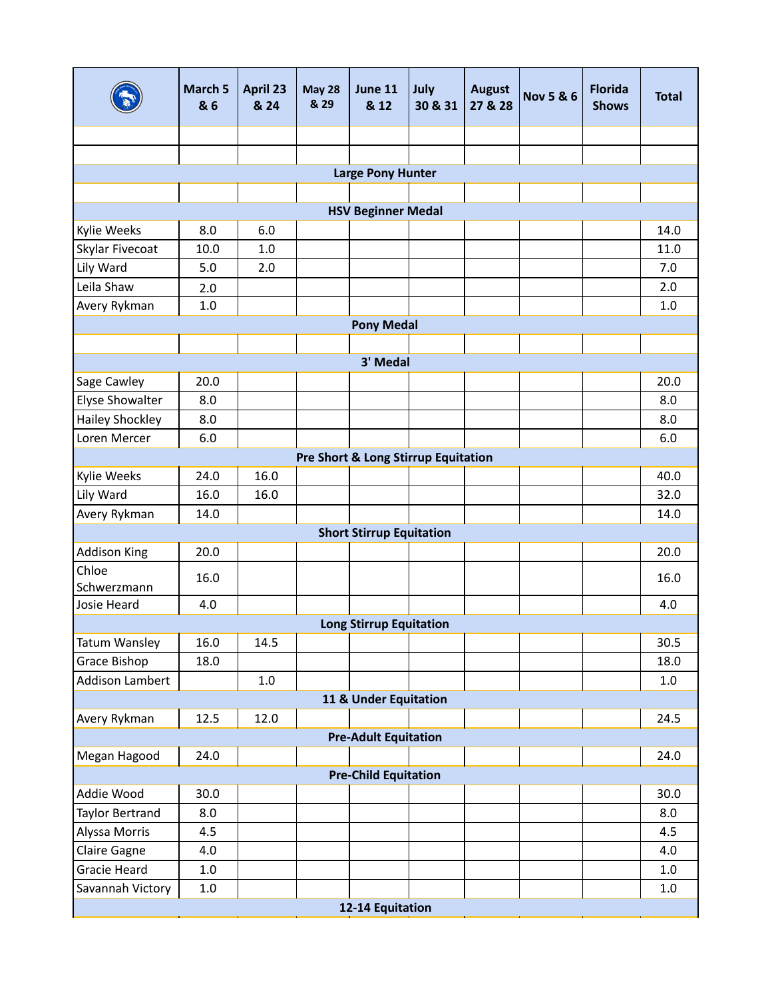|                                                | March 5<br>& 6 | April 23<br>& 24 | <b>May 28</b><br>& 29 | <b>June 11</b><br>& 12          | July<br>30 & 31 | <b>August</b><br>27 & 28 | <b>Nov 5 &amp; 6</b> | <b>Florida</b><br><b>Shows</b> | <b>Total</b> |  |
|------------------------------------------------|----------------|------------------|-----------------------|---------------------------------|-----------------|--------------------------|----------------------|--------------------------------|--------------|--|
|                                                |                |                  |                       |                                 |                 |                          |                      |                                |              |  |
|                                                |                |                  |                       |                                 |                 |                          |                      |                                |              |  |
|                                                |                |                  |                       | <b>Large Pony Hunter</b>        |                 |                          |                      |                                |              |  |
|                                                |                |                  |                       |                                 |                 |                          |                      |                                |              |  |
|                                                |                |                  |                       | <b>HSV Beginner Medal</b>       |                 |                          |                      |                                |              |  |
| Kylie Weeks                                    | 8.0            | 6.0              |                       |                                 |                 |                          |                      |                                | 14.0         |  |
| Skylar Fivecoat                                | 10.0           | 1.0              |                       |                                 |                 |                          |                      |                                | 11.0         |  |
| Lily Ward                                      | 5.0            | 2.0              |                       |                                 |                 |                          |                      |                                | 7.0          |  |
| Leila Shaw                                     | 2.0            |                  |                       |                                 |                 |                          |                      |                                | 2.0          |  |
| Avery Rykman                                   | 1.0            |                  |                       |                                 |                 |                          |                      |                                | 1.0          |  |
|                                                |                |                  |                       | <b>Pony Medal</b>               |                 |                          |                      |                                |              |  |
|                                                |                |                  |                       |                                 |                 |                          |                      |                                |              |  |
|                                                | 20.0           |                  |                       | 3' Medal                        |                 |                          |                      |                                | 20.0         |  |
| Sage Cawley<br>Elyse Showalter                 | 8.0            |                  |                       |                                 |                 |                          |                      |                                | 8.0          |  |
| <b>Hailey Shockley</b>                         | 8.0            |                  |                       |                                 |                 |                          |                      |                                | 8.0          |  |
| Loren Mercer                                   | 6.0            |                  |                       |                                 |                 |                          |                      |                                | 6.0          |  |
| <b>Pre Short &amp; Long Stirrup Equitation</b> |                |                  |                       |                                 |                 |                          |                      |                                |              |  |
| Kylie Weeks                                    | 24.0           | 16.0             |                       |                                 |                 |                          |                      |                                | 40.0         |  |
| Lily Ward                                      | 16.0           | 16.0             |                       |                                 |                 |                          |                      |                                | 32.0         |  |
| Avery Rykman                                   | 14.0           |                  |                       |                                 |                 |                          |                      |                                | 14.0         |  |
|                                                |                |                  |                       | <b>Short Stirrup Equitation</b> |                 |                          |                      |                                |              |  |
| <b>Addison King</b>                            | 20.0           |                  |                       |                                 |                 |                          |                      |                                | 20.0         |  |
| Chloe                                          |                |                  |                       |                                 |                 |                          |                      |                                |              |  |
| Schwerzmann                                    | 16.0           |                  |                       |                                 |                 |                          |                      |                                | 16.0         |  |
| Josie Heard                                    | 4.0            |                  |                       |                                 |                 |                          |                      |                                | 4.0          |  |
|                                                |                |                  |                       | <b>Long Stirrup Equitation</b>  |                 |                          |                      |                                |              |  |
| <b>Tatum Wansley</b>                           | 16.0           | 14.5             |                       |                                 |                 |                          |                      |                                | 30.5         |  |
| Grace Bishop                                   | 18.0           |                  |                       |                                 |                 |                          |                      |                                | 18.0         |  |
| <b>Addison Lambert</b>                         |                | 1.0              |                       |                                 |                 |                          |                      |                                | $1.0\,$      |  |
|                                                |                |                  |                       | 11 & Under Equitation           |                 |                          |                      |                                |              |  |
| Avery Rykman                                   | 12.5           | 12.0             |                       |                                 |                 |                          |                      |                                | 24.5         |  |
|                                                |                |                  |                       | <b>Pre-Adult Equitation</b>     |                 |                          |                      |                                |              |  |
| Megan Hagood                                   | 24.0           |                  |                       |                                 |                 |                          |                      |                                | 24.0         |  |
|                                                |                |                  |                       | <b>Pre-Child Equitation</b>     |                 |                          |                      |                                |              |  |
| Addie Wood                                     | 30.0           |                  |                       |                                 |                 |                          |                      |                                | 30.0         |  |
| Taylor Bertrand                                | 8.0            |                  |                       |                                 |                 |                          |                      |                                | 8.0          |  |
| Alyssa Morris                                  | 4.5            |                  |                       |                                 |                 |                          |                      |                                | 4.5          |  |
| Claire Gagne                                   | 4.0            |                  |                       |                                 |                 |                          |                      |                                | 4.0          |  |
| <b>Gracie Heard</b>                            | $1.0\,$        |                  |                       |                                 |                 |                          |                      |                                | $1.0\,$      |  |
| Savannah Victory                               | $1.0\,$        |                  |                       |                                 |                 |                          |                      |                                | $1.0\,$      |  |
|                                                |                |                  |                       | 12-14 Equitation                |                 |                          |                      |                                |              |  |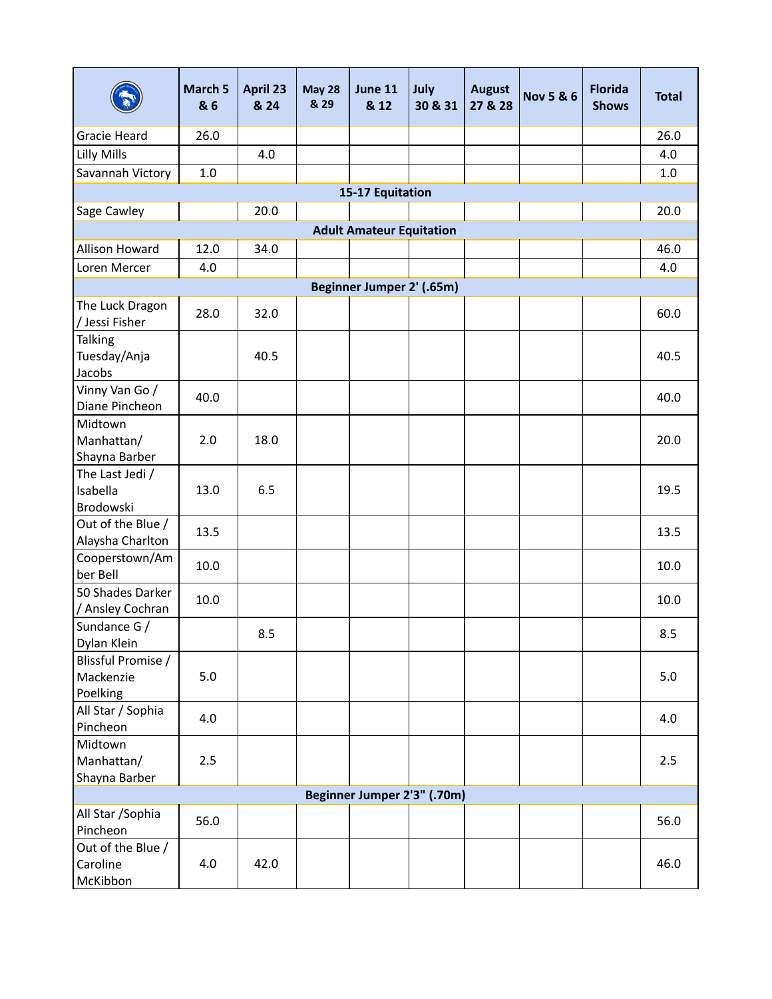|                                             | March 5<br>& 6 | April 23<br>& 24 | <b>May 28</b><br>& 29 | June 11<br>& 12           | July<br>30 & 31 | <b>August</b><br>27 & 28 | <b>Nov 5 &amp; 6</b> | <b>Florida</b><br><b>Shows</b> | <b>Total</b> |
|---------------------------------------------|----------------|------------------|-----------------------|---------------------------|-----------------|--------------------------|----------------------|--------------------------------|--------------|
| <b>Gracie Heard</b>                         | 26.0           |                  |                       |                           |                 |                          |                      |                                | 26.0         |
| Lilly Mills                                 |                | 4.0              |                       |                           |                 |                          |                      |                                | 4.0          |
| Savannah Victory                            | $1.0\,$        |                  |                       |                           |                 |                          |                      |                                | 1.0          |
|                                             |                |                  |                       | 15-17 Equitation          |                 |                          |                      |                                |              |
| 20.0<br>Sage Cawley                         |                |                  |                       |                           |                 |                          |                      |                                |              |
| <b>Adult Amateur Equitation</b>             |                |                  |                       |                           |                 |                          |                      |                                |              |
| Allison Howard                              | 12.0           | 34.0             |                       |                           |                 |                          |                      |                                | 46.0         |
| Loren Mercer                                | 4.0            |                  |                       |                           |                 |                          |                      |                                | 4.0          |
|                                             |                |                  |                       | Beginner Jumper 2' (.65m) |                 |                          |                      |                                |              |
| The Luck Dragon<br>/ Jessi Fisher           | 28.0           | 32.0             |                       |                           |                 |                          |                      |                                | 60.0         |
| <b>Talking</b><br>Tuesday/Anja<br>Jacobs    |                | 40.5             |                       |                           |                 |                          |                      |                                | 40.5         |
| Vinny Van Go /<br>Diane Pincheon            | 40.0           |                  |                       |                           |                 |                          |                      |                                | 40.0         |
| Midtown<br>Manhattan/<br>Shayna Barber      | 2.0            | 18.0             |                       |                           |                 |                          |                      |                                | 20.0         |
| The Last Jedi /<br>Isabella<br>Brodowski    | 13.0           | 6.5              |                       |                           |                 |                          |                      |                                | 19.5         |
| Out of the Blue /<br>Alaysha Charlton       | 13.5           |                  |                       |                           |                 |                          |                      |                                | 13.5         |
| Cooperstown/Am<br>ber Bell                  | 10.0           |                  |                       |                           |                 |                          |                      |                                | 10.0         |
| 50 Shades Darker<br>/ Ansley Cochran        | 10.0           |                  |                       |                           |                 |                          |                      |                                | 10.0         |
| Sundance G /<br>Dylan Klein                 |                | 8.5              |                       |                           |                 |                          |                      |                                | 8.5          |
| Blissful Promise /<br>Mackenzie<br>Poelking | 5.0            |                  |                       |                           |                 |                          |                      |                                | 5.0          |
| All Star / Sophia<br>Pincheon               | 4.0            |                  |                       |                           |                 |                          |                      |                                | 4.0          |
| Midtown<br>Manhattan/<br>Shayna Barber      | 2.5            |                  |                       |                           |                 |                          |                      |                                | 2.5          |
| Beginner Jumper 2'3" (.70m)                 |                |                  |                       |                           |                 |                          |                      |                                |              |
| All Star / Sophia<br>Pincheon               | 56.0           |                  |                       |                           |                 |                          |                      |                                | 56.0         |
| Out of the Blue /<br>Caroline<br>McKibbon   | 4.0            | 42.0             |                       |                           |                 |                          |                      |                                | 46.0         |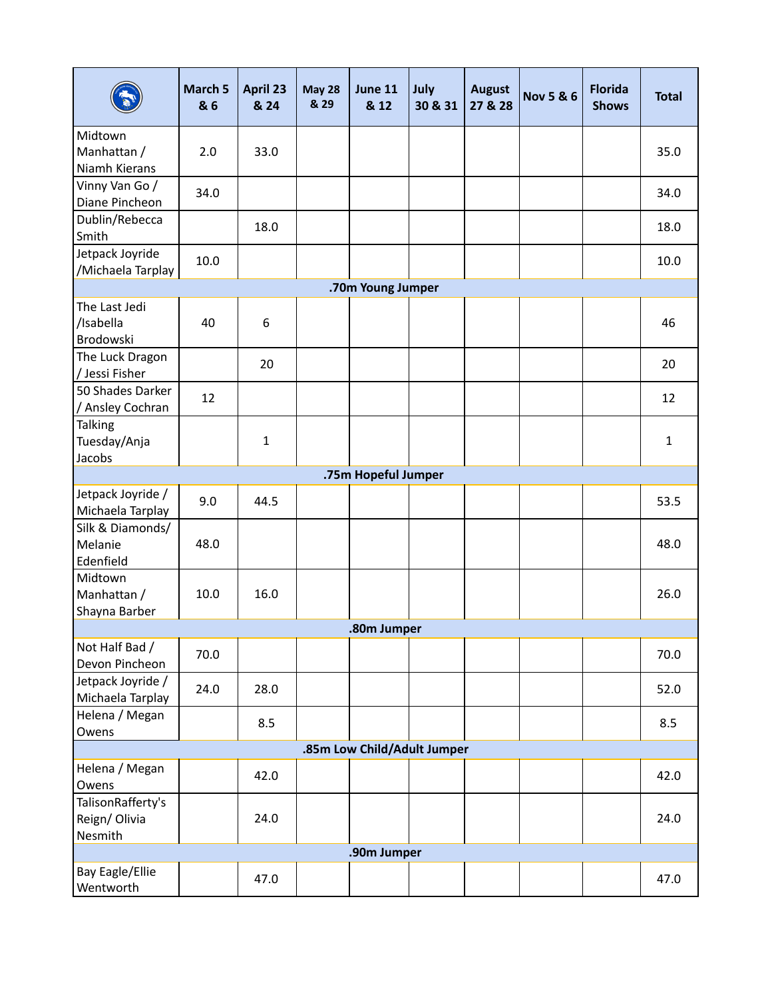|                                      | March 5<br>& 6 | April 23<br>& 24 | <b>May 28</b><br>& 29 | June 11<br>& 12             | July<br>30 & 31 | <b>August</b><br>27 & 28 | <b>Nov 5 &amp; 6</b> | <b>Florida</b><br><b>Shows</b> | <b>Total</b> |  |
|--------------------------------------|----------------|------------------|-----------------------|-----------------------------|-----------------|--------------------------|----------------------|--------------------------------|--------------|--|
| Midtown                              |                |                  |                       |                             |                 |                          |                      |                                |              |  |
| Manhattan /                          | 2.0            | 33.0             |                       |                             |                 |                          |                      |                                | 35.0         |  |
| Niamh Kierans                        |                |                  |                       |                             |                 |                          |                      |                                |              |  |
| Vinny Van Go /                       | 34.0           |                  |                       |                             |                 |                          |                      |                                | 34.0         |  |
| Diane Pincheon                       |                |                  |                       |                             |                 |                          |                      |                                |              |  |
| Dublin/Rebecca<br>Smith              |                | 18.0             |                       |                             |                 |                          |                      |                                | 18.0         |  |
| Jetpack Joyride<br>/Michaela Tarplay | 10.0           |                  |                       |                             |                 |                          |                      |                                | 10.0         |  |
| .70m Young Jumper                    |                |                  |                       |                             |                 |                          |                      |                                |              |  |
| The Last Jedi                        |                |                  |                       |                             |                 |                          |                      |                                |              |  |
| /Isabella                            | 40             | 6                |                       |                             |                 |                          |                      |                                | 46           |  |
| Brodowski                            |                |                  |                       |                             |                 |                          |                      |                                |              |  |
| The Luck Dragon<br>/ Jessi Fisher    |                | 20               |                       |                             |                 |                          |                      |                                | 20           |  |
| 50 Shades Darker                     |                |                  |                       |                             |                 |                          |                      |                                |              |  |
| / Ansley Cochran                     | 12             |                  |                       |                             |                 |                          |                      |                                | 12           |  |
| <b>Talking</b>                       |                |                  |                       |                             |                 |                          |                      |                                |              |  |
| Tuesday/Anja                         |                | $\mathbf{1}$     |                       |                             |                 |                          |                      |                                | $\mathbf{1}$ |  |
| Jacobs                               |                |                  |                       |                             |                 |                          |                      |                                |              |  |
| .75m Hopeful Jumper                  |                |                  |                       |                             |                 |                          |                      |                                |              |  |
| Jetpack Joyride /                    | 9.0            | 44.5             |                       |                             |                 |                          |                      |                                | 53.5         |  |
| Michaela Tarplay                     |                |                  |                       |                             |                 |                          |                      |                                |              |  |
| Silk & Diamonds/                     |                |                  |                       |                             |                 |                          |                      |                                |              |  |
| Melanie                              | 48.0           |                  |                       |                             |                 |                          |                      |                                | 48.0         |  |
| Edenfield                            |                |                  |                       |                             |                 |                          |                      |                                |              |  |
| Midtown                              | 10.0           | 16.0             |                       |                             |                 |                          |                      |                                | 26.0         |  |
| Manhattan /<br>Shayna Barber         |                |                  |                       |                             |                 |                          |                      |                                |              |  |
|                                      |                |                  |                       | .80m Jumper                 |                 |                          |                      |                                |              |  |
| Not Half Bad /                       |                |                  |                       |                             |                 |                          |                      |                                |              |  |
| Devon Pincheon                       | 70.0           |                  |                       |                             |                 |                          |                      |                                | 70.0         |  |
| Jetpack Joyride /                    |                |                  |                       |                             |                 |                          |                      |                                |              |  |
| Michaela Tarplay                     | 24.0           | 28.0             |                       |                             |                 |                          |                      |                                | 52.0         |  |
| Helena / Megan                       |                |                  |                       |                             |                 |                          |                      |                                |              |  |
| Owens                                |                | 8.5              |                       |                             |                 |                          |                      |                                | 8.5          |  |
|                                      |                |                  |                       | .85m Low Child/Adult Jumper |                 |                          |                      |                                |              |  |
| Helena / Megan                       |                | 42.0             |                       |                             |                 |                          |                      |                                | 42.0         |  |
| Owens                                |                |                  |                       |                             |                 |                          |                      |                                |              |  |
| TalisonRafferty's                    |                |                  |                       |                             |                 |                          |                      |                                |              |  |
| Reign/Olivia                         |                | 24.0             |                       |                             |                 |                          |                      |                                | 24.0         |  |
| Nesmith                              |                |                  |                       |                             |                 |                          |                      |                                |              |  |
|                                      |                |                  |                       | .90m Jumper                 |                 |                          |                      |                                |              |  |
| Bay Eagle/Ellie<br>Wentworth         |                | 47.0             |                       |                             |                 |                          |                      |                                | 47.0         |  |
|                                      |                |                  |                       |                             |                 |                          |                      |                                |              |  |